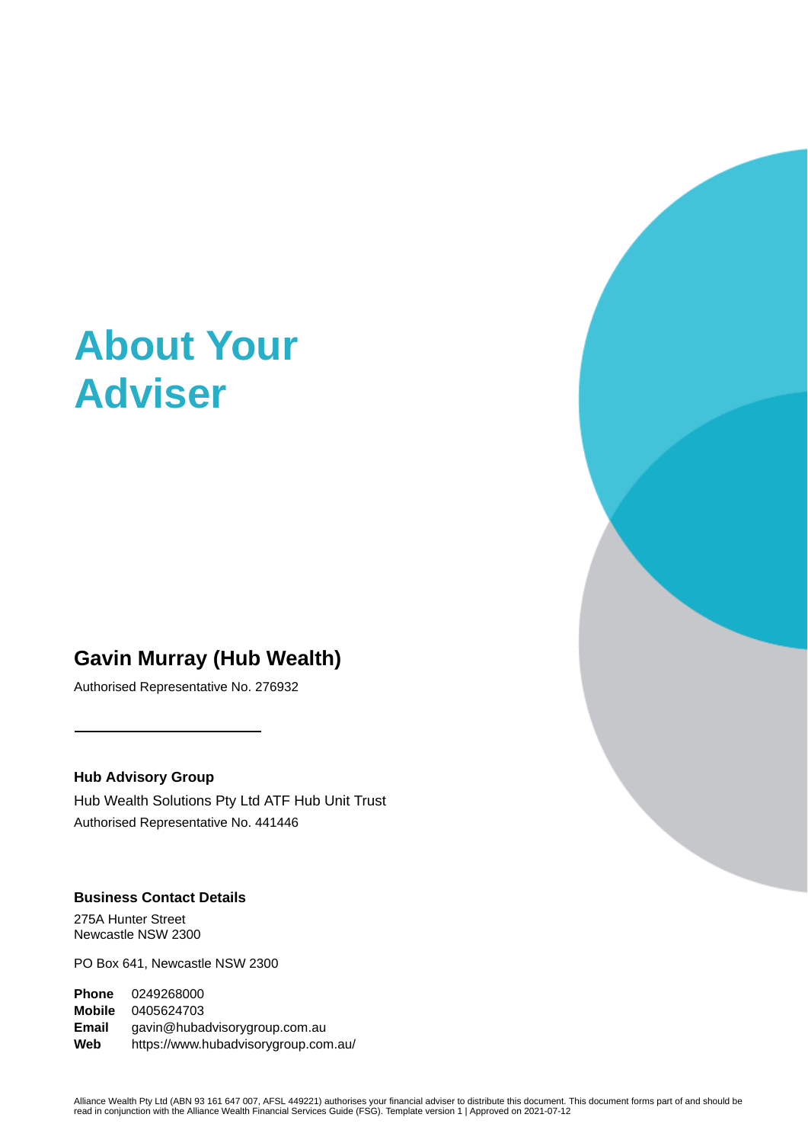# **About Your Adviser**

# **Gavin Murray (Hub Wealth)**

Authorised Representative No. 276932

## **Hub Advisory Group**

Hub Wealth Solutions Pty Ltd ATF Hub Unit Trust Authorised Representative No. 441446

# **Business Contact Details**

275A Hunter Street Newcastle NSW 2300

PO Box 641, Newcastle NSW 2300

**Phone** 0249268000 **Mobile** 0405624703 **Email** gavin@hubadvisorygroup.com.au **Web** https://www.hubadvisorygroup.com.au/